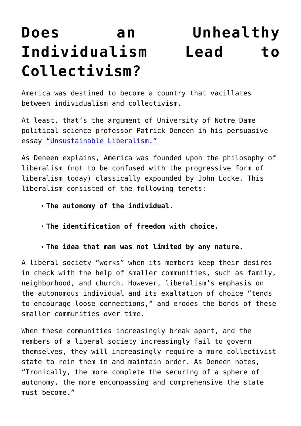## **[Does an Unhealthy](https://intellectualtakeout.org/2015/11/does-an-unhealthy-individualism-lead-to-collectivism/) [Individualism Lead to](https://intellectualtakeout.org/2015/11/does-an-unhealthy-individualism-lead-to-collectivism/) [Collectivism?](https://intellectualtakeout.org/2015/11/does-an-unhealthy-individualism-lead-to-collectivism/)**

America was destined to become a country that vacillates between individualism and collectivism.

At least, that's the argument of University of Notre Dame political science professor Patrick Deneen in his persuasive essay ["Unsustainable Liberalism."](http://www.firstthings.com/article/2012/08/unsustainable-liberalism)

As Deneen explains, America was founded upon the philosophy of liberalism (not to be confused with the progressive form of liberalism today) classically expounded by John Locke. This liberalism consisted of the following tenets:

- **The autonomy of the individual.**
- **The identification of freedom with choice.**
- **The idea that man was not limited by any nature.**

A liberal society "works" when its members keep their desires in check with the help of smaller communities, such as family, neighborhood, and church. However, liberalism's emphasis on the autonomous individual and its exaltation of choice "tends to encourage loose connections," and erodes the bonds of these smaller communities over time.

When these communities increasingly break apart, and the members of a liberal society increasingly fail to govern themselves, they will increasingly require a more collectivist state to rein them in and maintain order. As Deneen notes, "Ironically, the more complete the securing of a sphere of autonomy, the more encompassing and comprehensive the state must become."